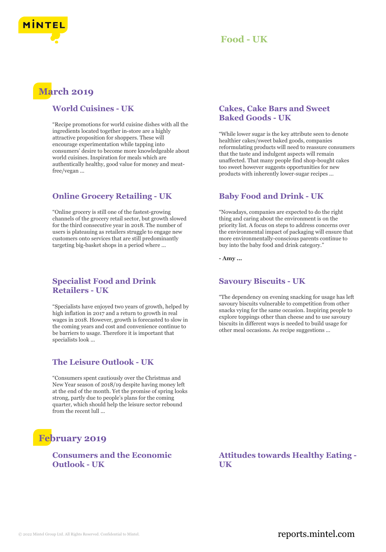

# **Food - UK**

# **March 2019**

#### **World Cuisines - UK**

"Recipe promotions for world cuisine dishes with all the ingredients located together in-store are a highly attractive proposition for shoppers. These will encourage experimentation while tapping into consumers' desire to become more knowledgeable about world cuisines. Inspiration for meals which are authentically healthy, good value for money and meatfree/vegan ...

## **Online Grocery Retailing - UK**

"Online grocery is still one of the fastest-growing channels of the grocery retail sector, but growth slowed for the third consecutive year in 2018. The number of users is plateauing as retailers struggle to engage new customers onto services that are still predominantly targeting big-basket shops in a period where ...

## **Specialist Food and Drink Retailers - UK**

"Specialists have enjoyed two years of growth, helped by high inflation in 2017 and a return to growth in real wages in 2018. However, growth is forecasted to slow in the coming years and cost and convenience continue to be barriers to usage. Therefore it is important that specialists look ...

## **The Leisure Outlook - UK**

"Consumers spent cautiously over the Christmas and New Year season of 2018/19 despite having money left at the end of the month. Yet the promise of spring looks strong, partly due to people's plans for the coming quarter, which should help the leisure sector rebound from the recent lull ...

# **February 2019**

**Consumers and the Economic Outlook - UK**

#### **Cakes, Cake Bars and Sweet Baked Goods - UK**

"While lower sugar is the key attribute seen to denote healthier cakes/sweet baked goods, companies reformulating products will need to reassure consumers that the taste and indulgent aspects will remain unaffected. That many people find shop-bought cakes too sweet however suggests opportunities for new products with inherently lower-sugar recipes ...

## **Baby Food and Drink - UK**

"Nowadays, companies are expected to do the right thing and caring about the environment is on the priority list. A focus on steps to address concerns over the environmental impact of packaging will ensure that more environmentally-conscious parents continue to buy into the baby food and drink category."

**- Amy ...**

## **Savoury Biscuits - UK**

"The dependency on evening snacking for usage has left savoury biscuits vulnerable to competition from other snacks vying for the same occasion. Inspiring people to explore toppings other than cheese and to use savoury biscuits in different ways is needed to build usage for other meal occasions. As recipe suggestions ...

**Attitudes towards Healthy Eating - UK**